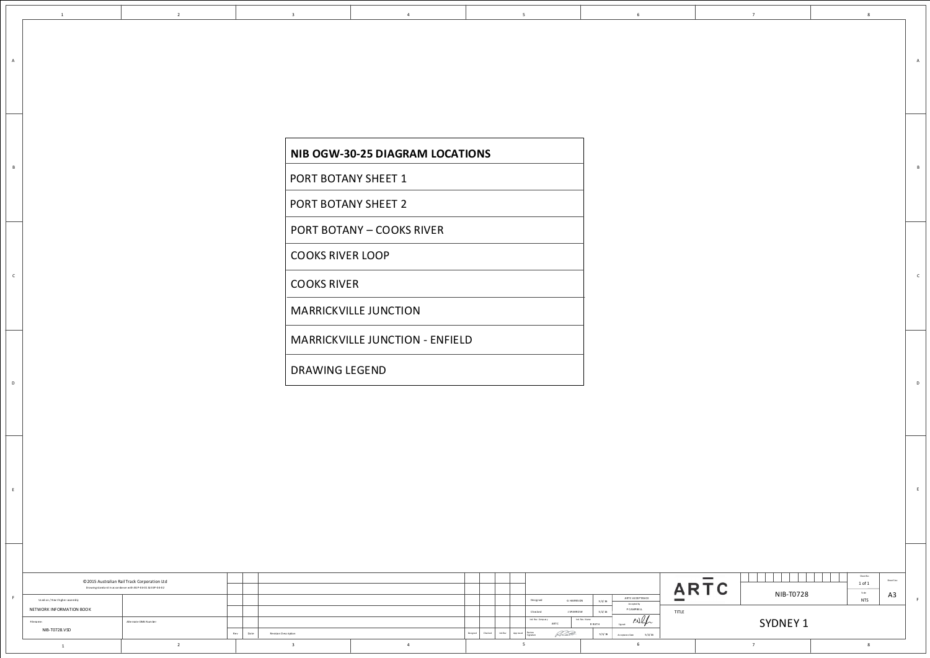| <b>PORT BOTANY SHEET 1</b>             |
|----------------------------------------|
| <b>PORT BOTANY SHEET 2</b>             |
| <b>PORT BOTANY - COOKS RIVER</b>       |
| <b>COOKS RIVER LOOP</b>                |
| <b>COOKS RIVER</b>                     |
| <b>MARRICKVILLE JUNCTION</b>           |
| <b>MARRICKVILLE JUNCTION - ENFIELD</b> |
| <b>DRAWING LEGEND</b>                  |
|                                        |

NIB OGW-30-25 DIAGRAM LOCATIONS

 $\overline{4}$ 

 $\overline{\mathbf{5}}$ 

 $6\overline{6}$ 

 $\overline{2}$ 

 $\mathbf{1}$ 

 $A$ 

 $\mathsf{B}$ 

 $\mathsf{c}$ 

 $\mathsf D$ 

 $E$ 

 $\overline{\mathbf{3}}$ 

| © 2015 Australian Rail Track Corporation Ltd<br>Drawingstandard in accordance with EG P-04-01 & EGP-04-02 |                        |             |                      |  |                  |         |                  |                            |                |               |                           |                          |
|-----------------------------------------------------------------------------------------------------------|------------------------|-------------|----------------------|--|------------------|---------|------------------|----------------------------|----------------|---------------|---------------------------|--------------------------|
| Used on / Next higher assembly                                                                            |                        |             |                      |  |                  |         |                  | Designed                   | G HARRISON     | 5/1/16        | ARTC ACCEPTANCE           | <b>Contract Contract</b> |
| NETWORK INFORMATION BOOK                                                                                  |                        |             |                      |  |                  |         |                  | Checked                    | J SPARROW      | 5/1/16        | Accepted by<br>P CAMPBELL | TITLE                    |
| Filename:                                                                                                 | Alternate DMS N um ber |             |                      |  |                  |         |                  | Ind. Rev. Comp any<br>ARTC | Ind. Rev. Name | <b>R RATH</b> | P.011<br>Signed:          |                          |
| NIB-T0728.VSD                                                                                             |                        | Date<br>Rev | Revision Description |  | Designed Checked | Ind.Rev | App roved Review | Signature                  | <i>Read</i>    | 5/1/16        | 5/1/16<br>Acceptance Date |                          |
|                                                                                                           |                        |             |                      |  |                  |         |                  |                            |                |               |                           |                          |

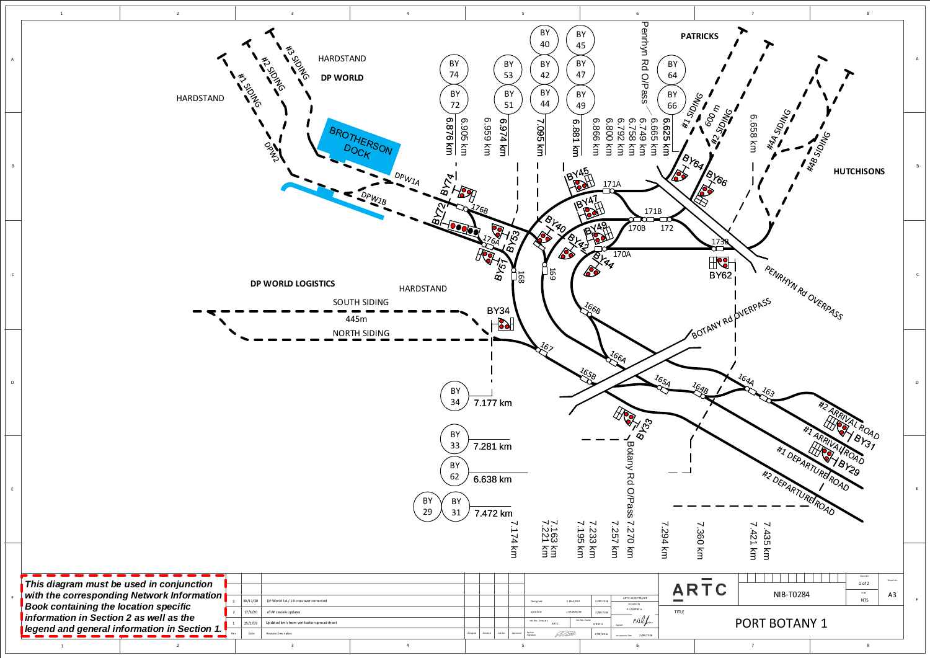<span id="page-1-0"></span>

| <u>I information in Section Z as well as the</u> |
|--------------------------------------------------|
| legend and general information in Section        |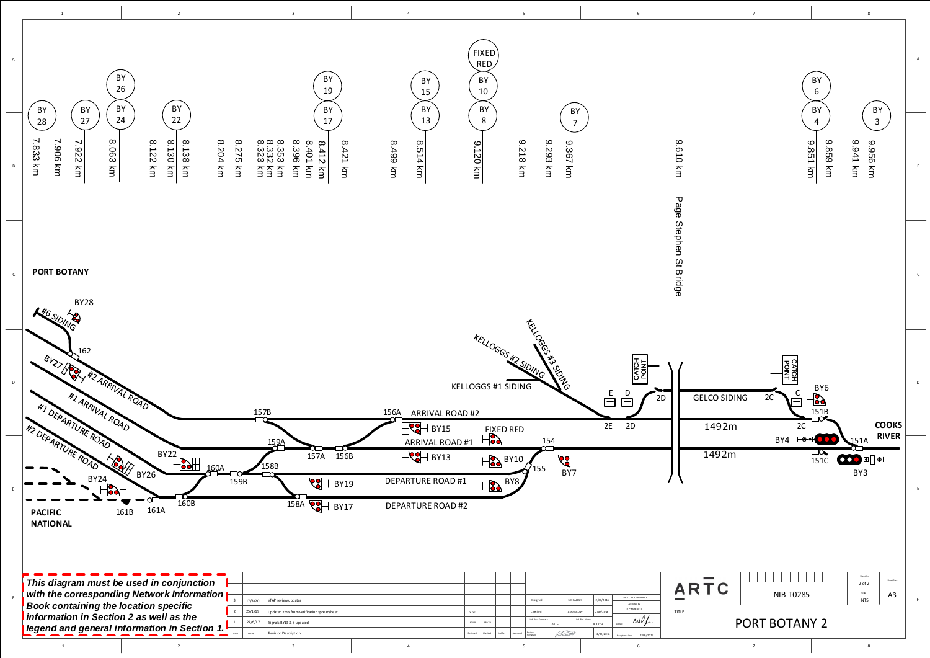<span id="page-2-0"></span>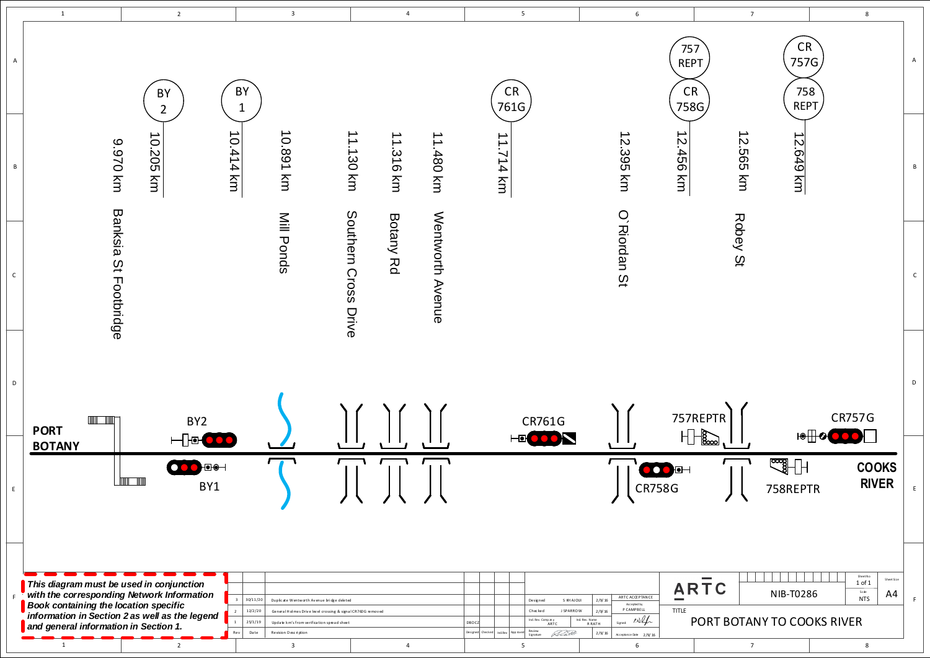<span id="page-3-0"></span>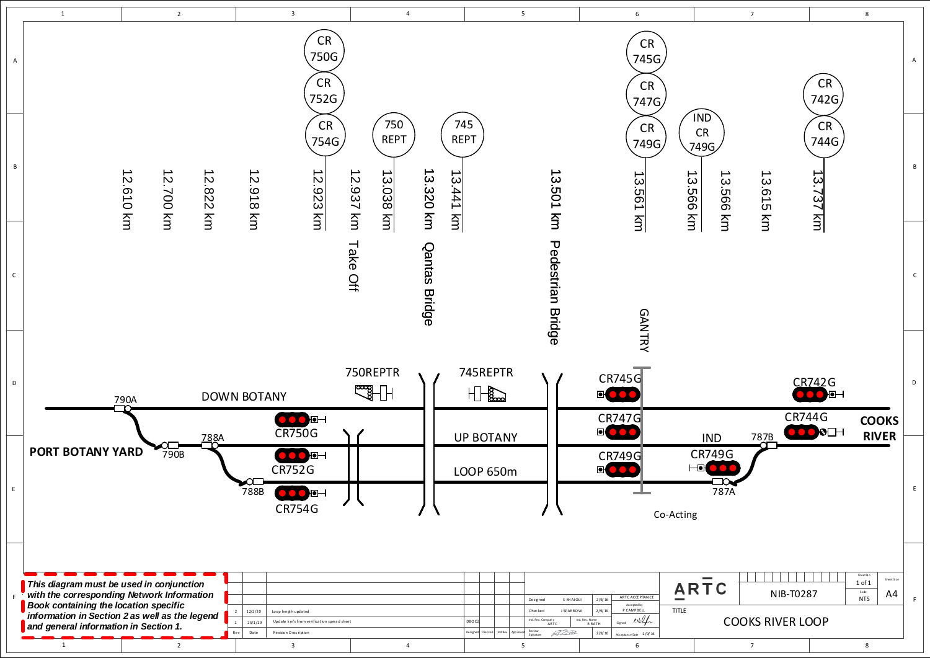<span id="page-4-0"></span>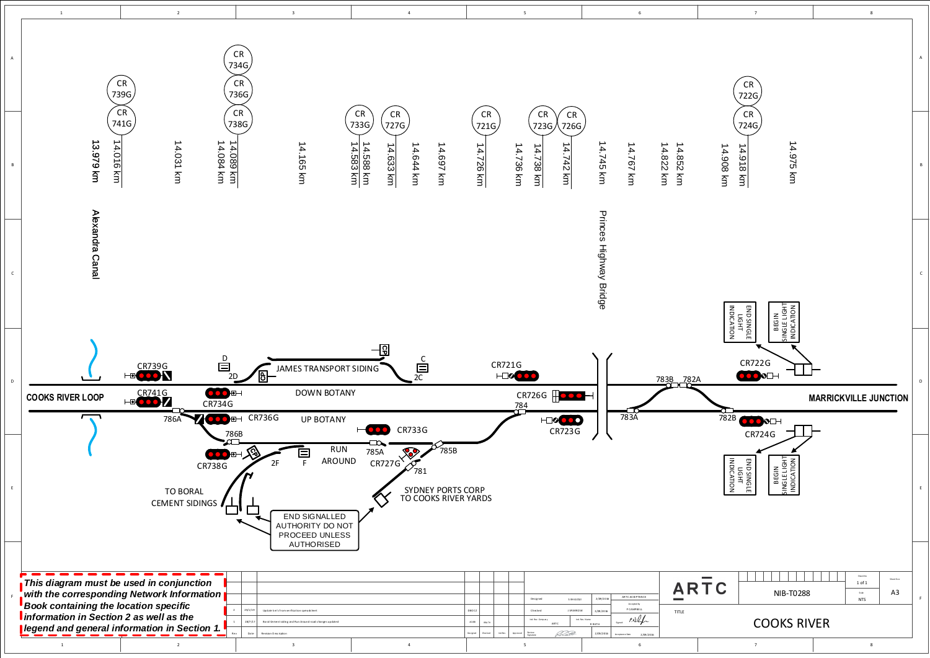<span id="page-5-0"></span>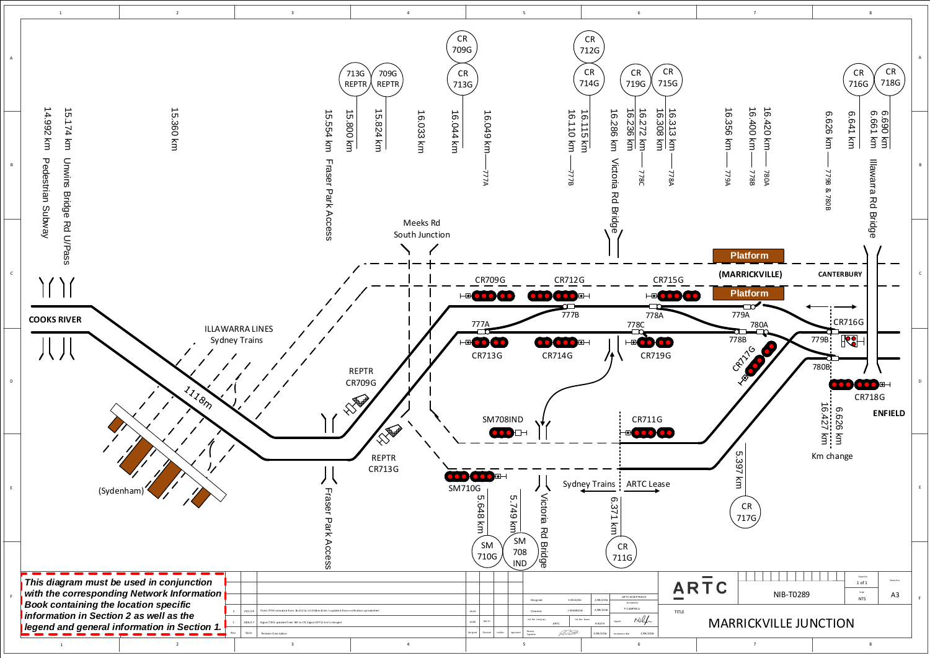<span id="page-6-0"></span>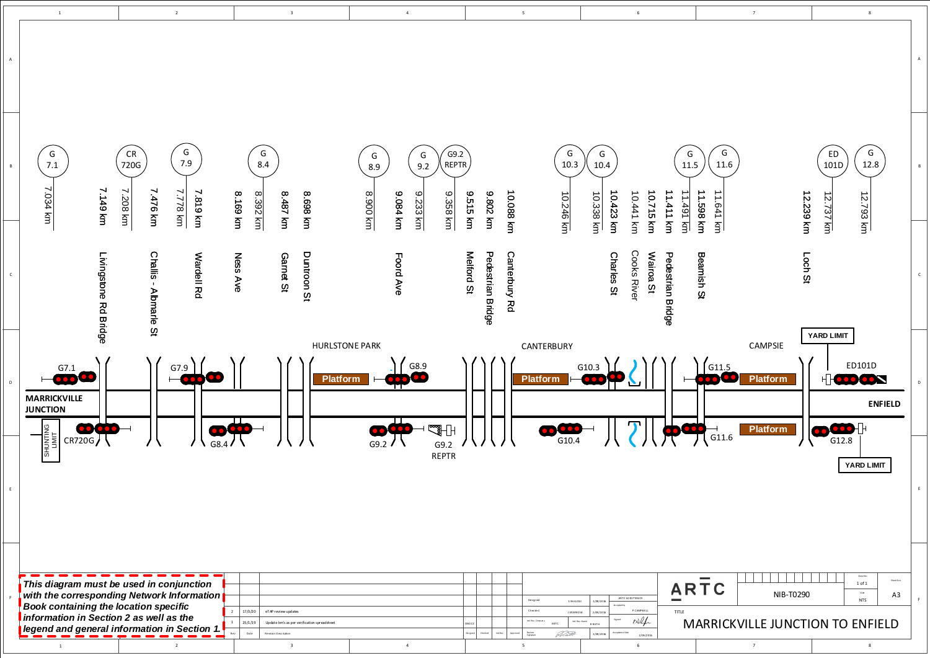<span id="page-7-0"></span>

|                 | $\,$ 1 $\,$                                                                                   | $\overline{2}$                                                                                                                         | $\overline{\mathbf{3}}$                                                                                                                                 | $\overline{4}$                                                                        | $\sqrt{5}$                                                                                                                                                                          | $\boldsymbol{6}$                                                                                                                                                                                      |
|-----------------|-----------------------------------------------------------------------------------------------|----------------------------------------------------------------------------------------------------------------------------------------|---------------------------------------------------------------------------------------------------------------------------------------------------------|---------------------------------------------------------------------------------------|-------------------------------------------------------------------------------------------------------------------------------------------------------------------------------------|-------------------------------------------------------------------------------------------------------------------------------------------------------------------------------------------------------|
| $\mathsf A$     |                                                                                               |                                                                                                                                        |                                                                                                                                                         |                                                                                       |                                                                                                                                                                                     |                                                                                                                                                                                                       |
| $\, {\bf B} \,$ | G<br>7.1<br>7.034 km<br>7.149 km                                                              | G<br>${\sf CR}$<br>7.9<br>720G<br>7.208 km<br>7.476 km<br>7.778 km<br>7.819 km                                                         | G<br>8.4<br>8.169 km<br>8.487 km<br>8.698 km<br><b>8.392 km</b>                                                                                         | G9.2<br>G<br>G<br>REPTR<br>9.2<br>8.9<br>mx 006.8<br>9.084 km<br>9.233 km<br>9.358 km | G<br>10.3<br>10.088 km<br>9.802 km<br>9.515 km<br>10.246 km                                                                                                                         | G<br>G<br>11.5<br>$10.4\,$<br>10.715 km<br>11.411 km<br>11.598 km<br>10.423 km<br>11.491 km<br>10.441 km<br>10.338 km                                                                                 |
| $\mathsf{C}$    | Livingstone Rd Bridge                                                                         | Challis - Albmarle St<br>Wardell Rd                                                                                                    | Duntroon St<br>Ness Ave<br>Garnet St                                                                                                                    | Foord Ave                                                                             | Melford St<br>Pedestrian Bridge<br>Canterbury Rd                                                                                                                                    | <b>Cooks River</b><br>Charles St<br>Beamish St<br>Wairoa St<br>Pedestrian Bridge                                                                                                                      |
| D               | $\mathbf{X}$<br>G7.1<br><b>MARRICKVILLE</b><br><b>JUNCTION</b><br>SHUNTING<br>LIMIT<br>CR720G | $\mathbf{v}$<br>$\mathbf{v}$<br>G7.9                                                                                                   | <b>HURLSTONE PARK</b><br>$\mathbf{X}$ and $\mathbf{Y}$<br>$\mathcal{N}$ and $\mathcal{N}$<br><b>Platform</b>                                            | $\mathbf{v}$<br>G8.9<br>्छनी<br>G9.2<br>G9.2<br><b>REPTR</b>                          | CANTERBURY<br>$\mathcal{N}$ and $\mathcal{N}$ and $\mathcal{N}$<br><b>Platform</b><br>G10.4                                                                                         | $\mathcal{N}$ and $\mathcal{N}$<br>$\mathbf{X}$ and $\mathbf{X}$<br>G10.3                                                                                                                             |
| E               |                                                                                               |                                                                                                                                        |                                                                                                                                                         |                                                                                       |                                                                                                                                                                                     |                                                                                                                                                                                                       |
| $\mathsf F$     | <b>Book containing the location specific</b><br>information in Section 2 as well as the       | This diagram must be used in conjunction<br>with the corresponding Network Information<br>legend and general information in Section 1. | $\overline{2}$<br>17/3/20<br>eTAP review updates<br>-1<br>25/1/19<br>Update km's as per verification spreadsheet<br>Rev<br>Date<br>Revision Description |                                                                                       | Designed<br>S KH AJOUI<br>Checked<br><b>J SPARROW</b><br>Ind. Rev. Comp an y<br>DBOCZ<br>ARTC<br>Designed<br>Ind.Rev<br>Review<br>Signature<br><i>Reatt</i><br>Checked<br>App roved | ARTC ACCEPTANCE<br>2/09/2016<br>Accepted by<br>P CAMPBELL<br><b>TITLE</b><br>2/09/2016<br>PNG<br>Signed:<br>Ind. Rev. Name<br><b>MA</b><br><b>R RATH</b><br>Acceptance Date<br>2/09/2016<br>2/09/2016 |